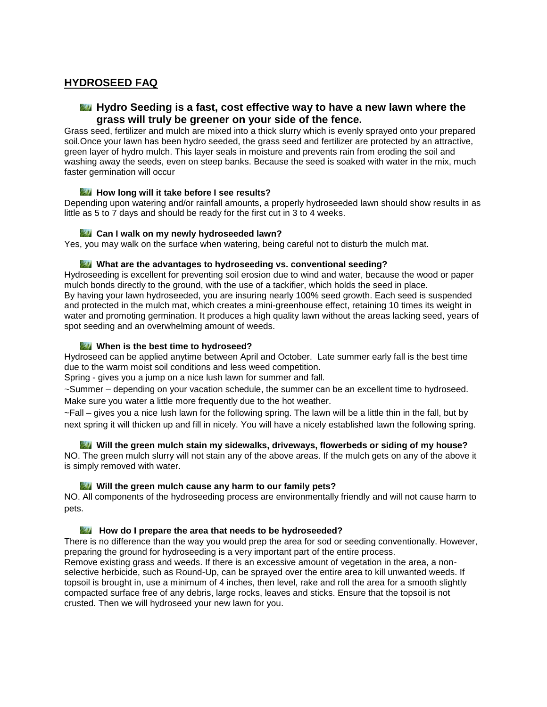# **HYDROSEED FAQ**

# **Hydro Seeding is a fast, cost effective way to have a new lawn where the grass will truly be greener on your side of the fence.**

Grass seed, fertilizer and mulch are mixed into a thick slurry which is evenly sprayed onto your prepared soil.Once your lawn has been hydro seeded, the grass seed and fertilizer are protected by an attractive, green layer of hydro mulch. This layer seals in moisture and prevents rain from eroding the soil and washing away the seeds, even on steep banks. Because the seed is soaked with water in the mix, much faster germination will occur

# **How long will it take before I see results?**

Depending upon watering and/or rainfall amounts, a properly hydroseeded lawn should show results in as little as 5 to 7 days and should be ready for the first cut in 3 to 4 weeks.

#### **Can I walk on my newly hydroseeded lawn?**

Yes, you may walk on the surface when watering, being careful not to disturb the mulch mat.

#### **What are the advantages to hydroseeding vs. conventional seeding?**

Hydroseeding is excellent for preventing soil erosion due to wind and water, because the wood or paper mulch bonds directly to the ground, with the use of a tackifier, which holds the seed in place. By having your lawn hydroseeded, you are insuring nearly 100% seed growth. Each seed is suspended and protected in the mulch mat, which creates a mini-greenhouse effect, retaining 10 times its weight in water and promoting germination. It produces a high quality lawn without the areas lacking seed, years of spot seeding and an overwhelming amount of weeds.

# **When is the best time to hydroseed?**

Hydroseed can be applied anytime between April and October. Late summer early fall is the best time due to the warm moist soil conditions and less weed competition.

Spring - gives you a jump on a nice lush lawn for summer and fall.

~Summer – depending on your vacation schedule, the summer can be an excellent time to hydroseed. Make sure you water a little more frequently due to the hot weather.

~Fall – gives you a nice lush lawn for the following spring. The lawn will be a little thin in the fall, but by next spring it will thicken up and fill in nicely. You will have a nicely established lawn the following spring.

#### **Will the green mulch stain my sidewalks, driveways, flowerbeds or siding of my house?**

NO. The green mulch slurry will not stain any of the above areas. If the mulch gets on any of the above it is simply removed with water.

#### **Will the green mulch cause any harm to our family pets?**

NO. All components of the hydroseeding process are environmentally friendly and will not cause harm to pets.

# **How do I prepare the area that needs to be hydroseeded?**

There is no difference than the way you would prep the area for sod or seeding conventionally. However, preparing the ground for hydroseeding is a very important part of the entire process.

Remove existing grass and weeds. If there is an excessive amount of vegetation in the area, a nonselective herbicide, such as Round-Up, can be sprayed over the entire area to kill unwanted weeds. If topsoil is brought in, use a minimum of 4 inches, then level, rake and roll the area for a smooth slightly compacted surface free of any debris, large rocks, leaves and sticks. Ensure that the topsoil is not crusted. Then we will hydroseed your new lawn for you.